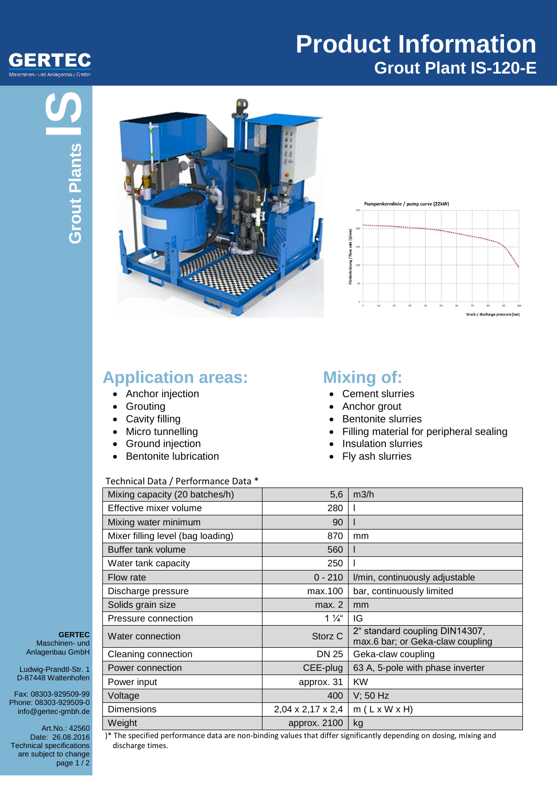

## **Product Information Grout Plant IS-120-E**





### **Application areas:**

- Anchor injection
- Grouting
- Cavity filling
- Micro tunnelling
- Ground injection
- Bentonite lubrication

#### Technical Data / Performance Data \*

## **Mixing of:**

- Cement slurries
- Anchor grout
- Bentonite slurries
- Filling material for peripheral sealing
- Insulation slurries
- Fly ash slurries

| Mixing capacity (20 batches/h)    | 5,6               | m3/h                                                               |
|-----------------------------------|-------------------|--------------------------------------------------------------------|
| Effective mixer volume            | 280               |                                                                    |
| Mixing water minimum              | 90                |                                                                    |
| Mixer filling level (bag loading) | 870               | mm                                                                 |
| Buffer tank volume                | 560               |                                                                    |
| Water tank capacity               | 250               |                                                                    |
| Flow rate                         | $0 - 210$         | I/min, continuously adjustable                                     |
| Discharge pressure                | max.100           | bar, continuously limited                                          |
| Solids grain size                 | max. 2            | mm                                                                 |
| Pressure connection               | $1\frac{1}{4}$    | IG                                                                 |
| Water connection                  | Storz C           | 2" standard coupling DIN14307,<br>max.6 bar; or Geka-claw coupling |
| Cleaning connection               | DN 25             | Geka-claw coupling                                                 |
| Power connection                  | CEE-plug          | 63 A, 5-pole with phase inverter                                   |
| Power input                       | approx. 31        | <b>KW</b>                                                          |
| Voltage                           | 400               | $V$ ; 50 Hz                                                        |
| <b>Dimensions</b>                 | 2,04 x 2,17 x 2,4 | $m(L \times W \times H)$                                           |
| Weight                            | approx. 2100      | kg                                                                 |

**GERTEC** Maschinen- und Anlagenbau GmbH

Ludwig-Prandtl-Str. 1 D-87448 Waltenhofen

Fax: 08303-929509-99 Phone: 08303-929509-0 info@gertec-gmbh.de

Art.No.: 42560 Date: 26.08.2016 Technical specifications are subject to change page  $1/2$ 

)\* The specified performance data are non-binding values that differ significantly depending on dosing, mixing and discharge times.